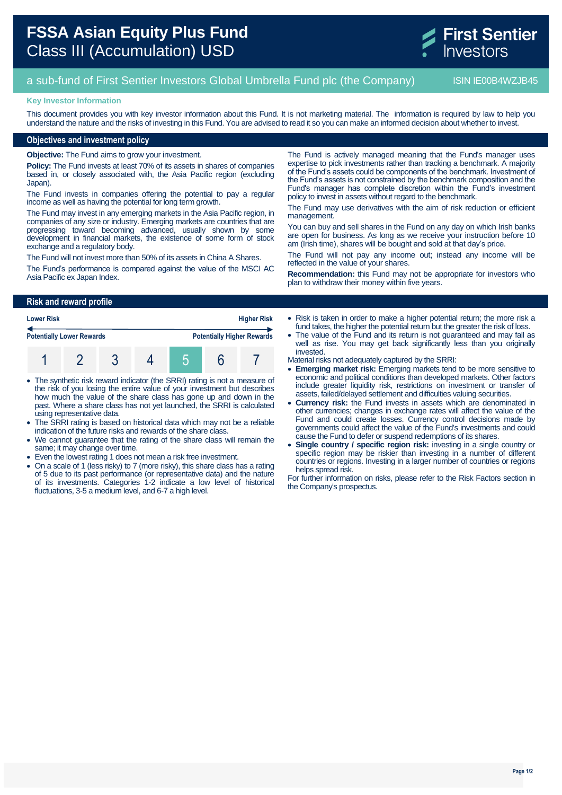

# a sub-fund of First Sentier Investors Global Umbrella Fund plc (the Company) ISIN IE00B4WZJB45

#### **Key Investor Information**

This document provides you with key investor information about this Fund. It is not marketing material. The information is required by law to help you understand the nature and the risks of investing in this Fund. You are advised to read it so you can make an informed decision about whether to invest.

## **Objectives and investment policy**

**Objective:** The Fund aims to grow your investment.

**Policy:** The Fund invests at least 70% of its assets in shares of companies based in, or closely associated with, the Asia Pacific region (excluding Japan).

The Fund invests in companies offering the potential to pay a regular income as well as having the potential for long term growth.

The Fund may invest in any emerging markets in the Asia Pacific region, in companies of any size or industry. Emerging markets are countries that are progressing toward becoming advanced, usually shown by some development in financial markets, the existence of some form of stock exchange and a regulatory body.

The Fund will not invest more than 50% of its assets in China A Shares.

The Fund's performance is compared against the value of the MSCI AC Asia Pacific ex Japan Index.

The Fund is actively managed meaning that the Fund's manager uses expertise to pick investments rather than tracking a benchmark. A majority of the Fund's assets could be components of the benchmark. Investment of the Fund's assets is not constrained by the benchmark composition and the Fund's manager has complete discretion within the Fund's investment policy to invest in assets without regard to the benchmark.

The Fund may use derivatives with the aim of risk reduction or efficient management.

You can buy and sell shares in the Fund on any day on which Irish banks are open for business. As long as we receive your instruction before 10 am (Irish time), shares will be bought and sold at that day's price.

The Fund will not pay any income out; instead any income will be reflected in the value of your shares.

**Recommendation:** this Fund may not be appropriate for investors who plan to withdraw their money within five years.

#### **Risk and reward profile**

| <b>Lower Risk</b>                |  | <b>Higher Risk</b> |  |  |                                   |
|----------------------------------|--|--------------------|--|--|-----------------------------------|
| <b>Potentially Lower Rewards</b> |  |                    |  |  | <b>Potentially Higher Rewards</b> |
|                                  |  |                    |  |  |                                   |

- The synthetic risk reward indicator (the SRRI) rating is not a measure of the risk of you losing the entire value of your investment but describes how much the value of the share class has gone up and down in the past. Where a share class has not yet launched, the SRRI is calculated using representative data.
- The SRRI rating is based on historical data which may not be a reliable indication of the future risks and rewards of the share class.
- We cannot guarantee that the rating of the share class will remain the same; it may change over time.
- Even the lowest rating 1 does not mean a risk free investment.
- On a scale of 1 (less risky) to 7 (more risky), this share class has a rating of 5 due to its past performance (or representative data) and the nature of its investments. Categories 1-2 indicate a low level of historical fluctuations, 3-5 a medium level, and 6-7 a high level.
- Risk is taken in order to make a higher potential return; the more risk a fund takes, the higher the potential return but the greater the risk of loss.
- The value of the Fund and its return is not guaranteed and may fall as well as rise. You may get back significantly less than you originally invested.
- Material risks not adequately captured by the SRRI:
- **Emerging market risk:** Emerging markets tend to be more sensitive to economic and political conditions than developed markets. Other factors include greater liquidity risk, restrictions on investment or transfer of assets, failed/delayed settlement and difficulties valuing securities.
- **Currency risk:** the Fund invests in assets which are denominated in other currencies; changes in exchange rates will affect the value of the Fund and could create losses. Currency control decisions made by governments could affect the value of the Fund's investments and could cause the Fund to defer or suspend redemptions of its shares.
- **Single country / specific region risk:** investing in a single country or specific region may be riskier than investing in a number of different countries or regions. Investing in a larger number of countries or regions helps spread risk.

For further information on risks, please refer to the Risk Factors section in the Company's prospectus.